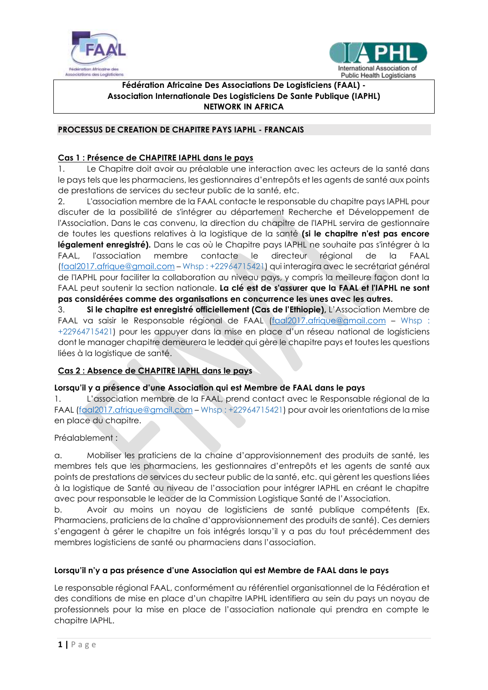



#### $\overline{a}$ **Fédération Africaine Des Associations De Logisticiens (FAAL) - Association Internationale Des Logisticiens De Sante Publique (IAPHL) NETWORK IN AFRICA**

## **PROCESSUS DE CREATION DE CHAPITRE PAYS IAPHL - FRANCAIS**

# **Cas 1 : Présence de CHAPITRE IAPHL dans le pays**

1. Le Chapitre doit avoir au préalable une interaction avec les acteurs de la santé dans le pays tels que les pharmaciens, les gestionnaires d'entrepôts et les agents de santé aux points de prestations de services du secteur public de la santé, etc.

2. L'association membre de la FAAL contacte le responsable du chapitre pays IAPHL pour discuter de la possibilité de s'intégrer au département Recherche et Développement de l'Association. Dans le cas convenu, la direction du chapitre de l'IAPHL servira de gestionnaire de toutes les questions relatives à la logistique de la santé **(si le chapitre n'est pas encore**  légalement enregistré). Dans le cas où le Chapitre pays IAPHL ne souhaite pas s'intégrer à la FAAL, l'association membre contacte le directeur régional de la FAAL [\(faal2017.afrique@gmail.com](mailto:faal2017.afrique@gmail.com) – Whsp : +22964715421) qui interagira avec le secrétariat général de l'IAPHL pour faciliter la collaboration au niveau pays, y compris la meilleure façon dont la FAAL peut soutenir la section nationale. **La clé est de s'assurer que la FAAL et l'IAPHL ne sont pas considérées comme des organisations en concurrence les unes avec les autres.** 

3. **Si le chapitre est enregistré officiellement (Cas de l'Ethiopie),** L'Association Membre de FAAL va saisir le Responsable régional de FAAL [\(faal2017.afrique@gmail.com](mailto:faal2017.afrique@gmail.com) – Whsp : +22964715421) pour les appuyer dans la mise en place d'un réseau national de logisticiens dont le manager chapitre demeurera le leader qui gère le chapitre pays et toutes les questions liées à la logistique de santé.

# **Cas 2 : Absence de CHAPITRE IAPHL dans le pays**

### **Lorsqu'il y a présence d'une Association qui est Membre de FAAL dans le pays**

1. L'association membre de la FAAL, prend contact avec le Responsable régional de la FAAL [\(faal2017.afrique@gmail.com](mailto:faal2017.afrique@gmail.com) - Whsp : +22964715421) pour avoir les orientations de la mise en place du chapitre.

### Préalablement :

a. Mobiliser les praticiens de la chaine d'approvisionnement des produits de santé, les membres tels que les pharmaciens, les gestionnaires d'entrepôts et les agents de santé aux points de prestations de services du secteur public de la santé, etc. qui gèrent les questions liées à la logistique de Santé au niveau de l'association pour intégrer IAPHL en créant le chapitre avec pour responsable le leader de la Commission Logistique Santé de l'Association.

b. Avoir au moins un noyau de logisticiens de santé publique compétents (Ex. Pharmaciens, praticiens de la chaîne d'approvisionnement des produits de santé). Ces derniers s'engagent à gérer le chapitre un fois intégrés lorsqu'il y a pas du tout précédemment des membres logisticiens de santé ou pharmaciens dans l'association.

# **Lorsqu'il n'y a pas présence d'une Association qui est Membre de FAAL dans le pays**

Le responsable régional FAAL, conformément au référentiel organisationnel de la Fédération et des conditions de mise en place d'un chapitre IAPHL identifiera au sein du pays un noyau de professionnels pour la mise en place de l'association nationale qui prendra en compte le chapitre IAPHL.